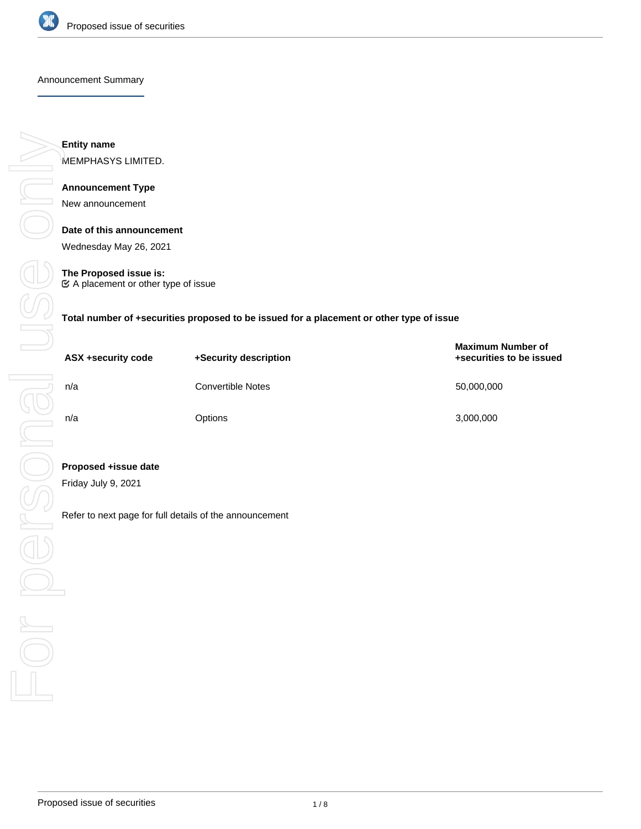

#### Announcement Summary

**Entity name**

MEMPHASYS LIMITED.

## **Announcement Type**

New announcement

**Date of this announcement**

Wednesday May 26, 2021

**The Proposed issue is:** A placement or other type of issue

**Total number of +securities proposed to be issued for a placement or other type of issue**

| ASX +security code | +Security description    | <b>Maximum Number of</b><br>+securities to be issued |
|--------------------|--------------------------|------------------------------------------------------|
| n/a                | <b>Convertible Notes</b> | 50,000,000                                           |
| n/a                | <b>Options</b>           | 3,000,000                                            |

## **Proposed +issue date**

Friday July 9, 2021

Refer to next page for full details of the announcement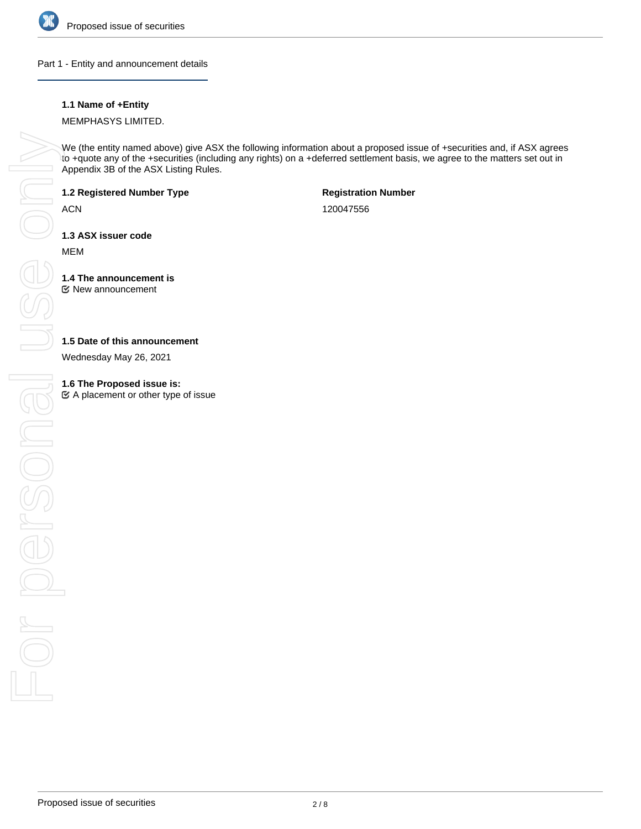

Part 1 - Entity and announcement details

## **1.1 Name of +Entity**

MEMPHASYS LIMITED.

We (the entity named above) give ASX the following information about a proposed issue of +securities and, if ASX agrees to +quote any of the +securities (including any rights) on a +deferred settlement basis, we agree to the matters set out in Appendix 3B of the ASX Listing Rules.

**1.2 Registered Number Type**

ACN

**Registration Number**

120047556

**1.3 ASX issuer code**

MEM

**1.4 The announcement is** New announcement

## **1.5 Date of this announcement**

Wednesday May 26, 2021

 $\mathfrak{C}$  A placement or other type of issue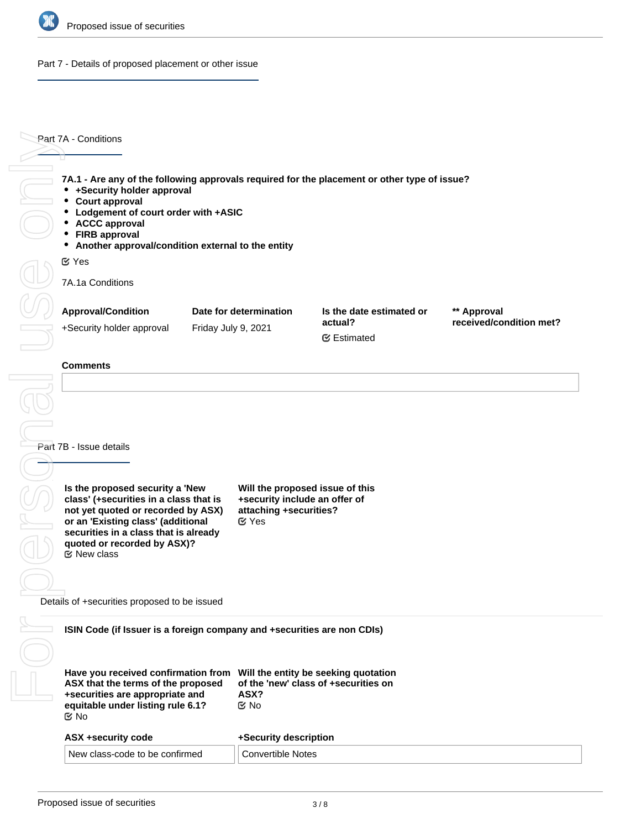

Part 7 - Details of proposed placement or other issue

Part 7A - Conditions

**7A.1 - Are any of the following approvals required for the placement or other type of issue?**

- **+Security holder approval**
- **Court approval**
- **Lodgement of court order with +ASIC**
- **ACCC approval**
- **FIRB approval**
- **Another approval/condition external to the entity**

Yes

7A.1a Conditions

| <b>Approval/Condition</b> | Date for determination | Is the date estimated or | ** Approval             |
|---------------------------|------------------------|--------------------------|-------------------------|
| +Security holder approval | Friday July 9, 2021    | actual?                  | received/condition met? |
|                           |                        | <b></b> ■ Estimated      |                         |

**Part 7B - Issue details** 

**Is the proposed security a 'New class' (+securities in a class that is not yet quoted or recorded by ASX) or an 'Existing class' (additional securities in a class that is already quoted or recorded by ASX)?**  $E$  New class

**Will the proposed issue of this +security include an offer of attaching +securities?** Yes

Details of +securities proposed to be issued

**ISIN Code (if Issuer is a foreign company and +securities are non CDIs)**

| Have you received confirmation from<br>ASX that the terms of the proposed<br>+securities are appropriate and<br>equitable under listing rule 6.1?<br>় No | Will the entity be seeking quotation<br>of the 'new' class of +securities on<br>ASX?<br>় No |  |
|-----------------------------------------------------------------------------------------------------------------------------------------------------------|----------------------------------------------------------------------------------------------|--|
| ASX +security code                                                                                                                                        | +Security description                                                                        |  |
| New class-code to be confirmed                                                                                                                            | Convertible Notes                                                                            |  |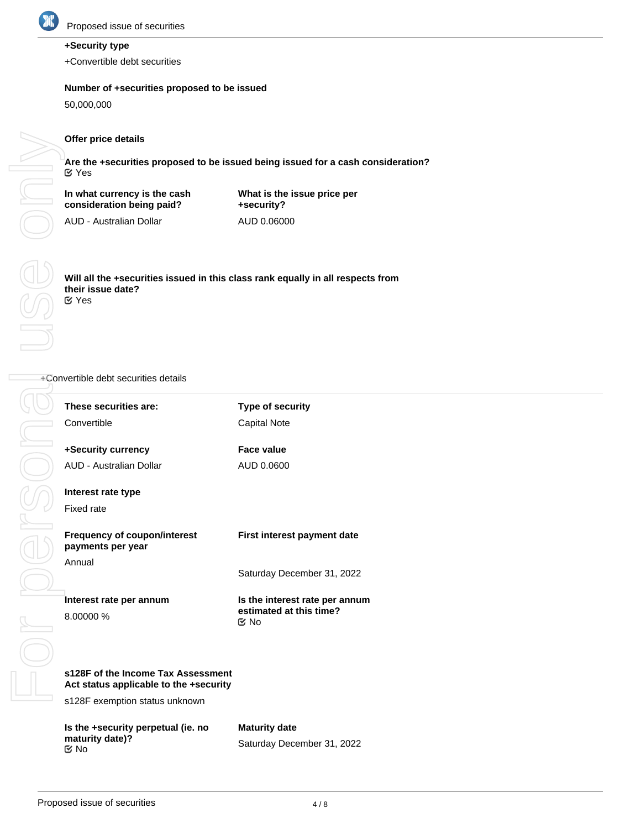

# **+Security type**

+Convertible debt securities

## **Number of +securities proposed to be issued**

50,000,000

## **Offer price details**

**Are the +securities proposed to be issued being issued for a cash consideration?** Yes

**In what currency is the cash consideration being paid?**

**What is the issue price per +security?** AUD 0.06000

AUD - Australian Dollar

**Will all the +securities issued in this class rank equally in all respects from their issue date?** Yes

## +Convertible debt securities details

| These securities are:<br>Convertible                                         | Type of security<br><b>Capital Note</b>                                        |
|------------------------------------------------------------------------------|--------------------------------------------------------------------------------|
| +Security currency                                                           | <b>Face value</b>                                                              |
| AUD - Australian Dollar                                                      | AUD 0.0600                                                                     |
| Interest rate type<br>Fixed rate                                             |                                                                                |
| <b>Frequency of coupon/interest</b><br>payments per year                     | First interest payment date                                                    |
| Annual                                                                       | Saturday December 31, 2022                                                     |
| Interest rate per annum<br>8.00000 %                                         | Is the interest rate per annum<br>estimated at this time?<br>$\mathfrak{C}$ No |
|                                                                              |                                                                                |
| s128F of the Income Tax Assessment<br>Act status applicable to the +security |                                                                                |
| s128F exemption status unknown                                               |                                                                                |
| Is the +security perpetual (ie. no<br>maturity date)?<br>$\mathfrak{S}$ No   | <b>Maturity date</b><br>Saturday December 31, 2022                             |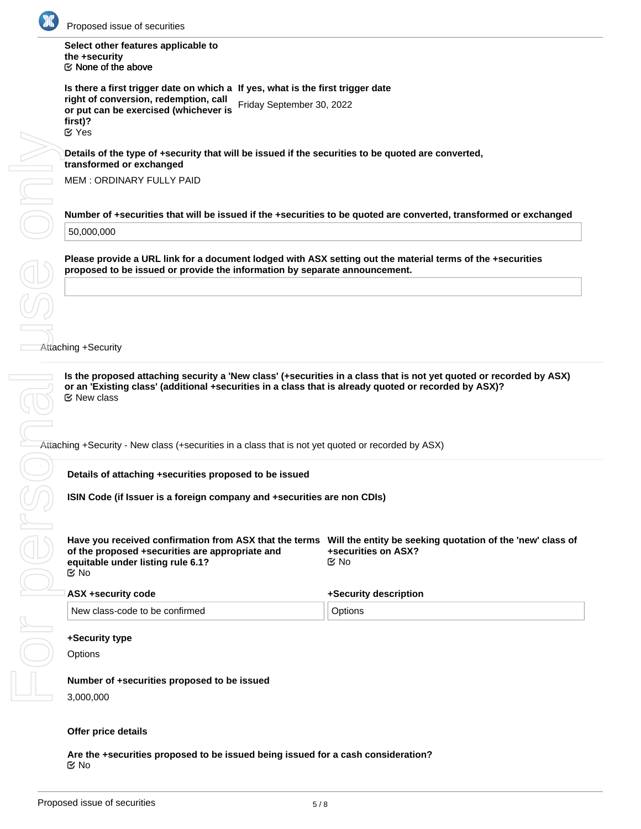

**Select other features applicable to the +security**  $\mathfrak C$  None of the above

**Is there a first trigger date on which a If yes, what is the first trigger date right of conversion, redemption, call or put can be exercised (whichever is first)?** Friday September 30, 2022 Yes

**Details of the type of +security that will be issued if the securities to be quoted are converted, transformed or exchanged**

MEM : ORDINARY FULLY PAID

**Number of +securities that will be issued if the +securities to be quoted are converted, transformed or exchanged** 50,000,000

**Please provide a URL link for a document lodged with ASX setting out the material terms of the +securities proposed to be issued or provide the information by separate announcement.**

Attaching +Security

**Is the proposed attaching security a 'New class' (+securities in a class that is not yet quoted or recorded by ASX) or an 'Existing class' (additional +securities in a class that is already quoted or recorded by ASX)?** New class

Attaching +Security - New class (+securities in a class that is not yet quoted or recorded by ASX)

**Details of attaching +securities proposed to be issued**

**ISIN Code (if Issuer is a foreign company and +securities are non CDIs)**

| ASX +security code             | +Security description |  |
|--------------------------------|-----------------------|--|
| New class-code to be confirmed | Options               |  |

## **+Security type**

**Options** 

**Number of +securities proposed to be issued** 3,000,000

#### **Offer price details**

**Are the +securities proposed to be issued being issued for a cash consideration?** No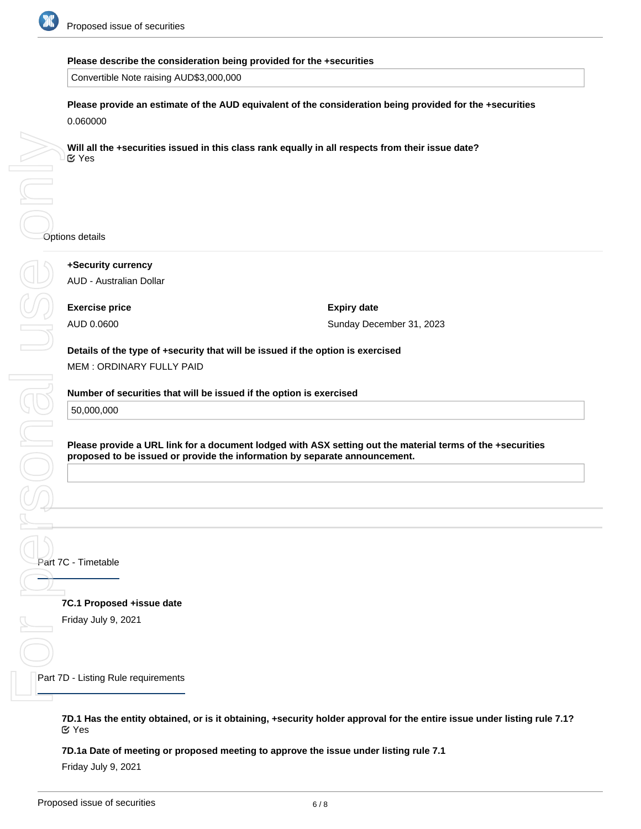

## **Please describe the consideration being provided for the +securities**

Convertible Note raising AUD\$3,000,000

**Please provide an estimate of the AUD equivalent of the consideration being provided for the +securities** 0.060000

**Will all the +securities issued in this class rank equally in all respects from their issue date? ⊘**Yes

**+Security currency** AUD - Australian Dollar

Options details **Exercise price** AUD 0.0600

**Expiry date** Sunday December 31, 2023

**Details of the type of +security that will be issued if the option is exercised** MEM : ORDINARY FULLY PAID

**Number of securities that will be issued if the option is exercised**

50,000,000

SONGIUS

**Please provide a URL link for a document lodged with ASX setting out the material terms of the +securities proposed to be issued or provide the information by separate announcement.**

Part 7C - Timetable

**7C.1 Proposed +issue date**

Friday July 9, 2021

Part 7D - Listing Rule requirements For personal use only

> **7D.1 Has the entity obtained, or is it obtaining, +security holder approval for the entire issue under listing rule 7.1?** Yes

**7D.1a Date of meeting or proposed meeting to approve the issue under listing rule 7.1**

Friday July 9, 2021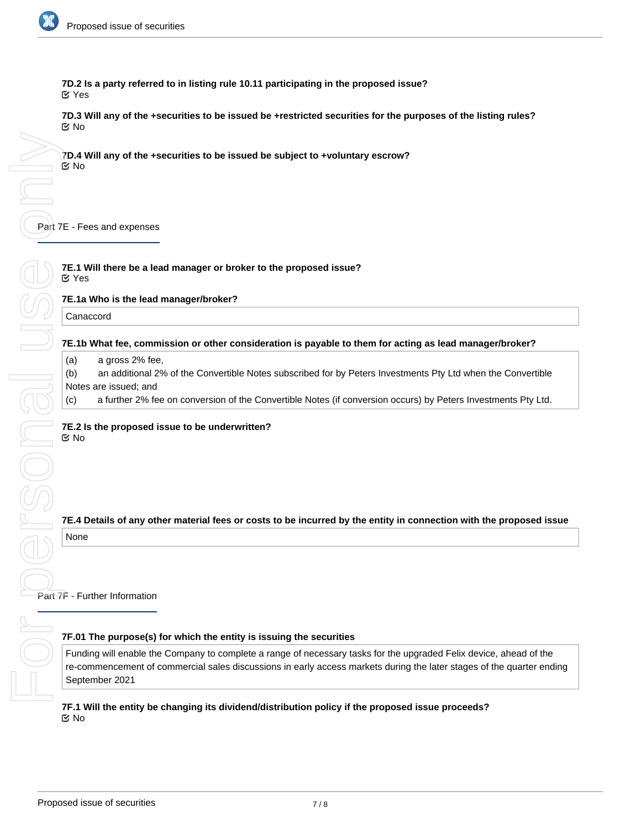

**7D.2 Is a party referred to in listing rule 10.11 participating in the proposed issue?** Yes

**7D.3 Will any of the +securities to be issued be +restricted securities for the purposes of the listing rules?** No

**7D.4 Will any of the +securities to be issued be subject to +voluntary escrow?** No

Part 7E - Fees and expenses

**7E.1 Will there be a lead manager or broker to the proposed issue?** Yes

**7E.1a Who is the lead manager/broker?**

Canaccord

### **7E.1b What fee, commission or other consideration is payable to them for acting as lead manager/broker?**

(a) a gross 2% fee,

(b) an additional 2% of the Convertible Notes subscribed for by Peters Investments Pty Ltd when the Convertible Notes are issued; and

(c) a further 2% fee on conversion of the Convertible Notes (if conversion occurs) by Peters Investments Pty Ltd.

**7E.2 Is the proposed issue to be underwritten?** No

**7E.4 Details of any other material fees or costs to be incurred by the entity in connection with the proposed issue**

None

Part 7F - Further Information

#### **7F.01 The purpose(s) for which the entity is issuing the securities**

Funding will enable the Company to complete a range of necessary tasks for the upgraded Felix device, ahead of the re-commencement of commercial sales discussions in early access markets during the later stages of the quarter ending September 2021

**7F.1 Will the entity be changing its dividend/distribution policy if the proposed issue proceeds?** No